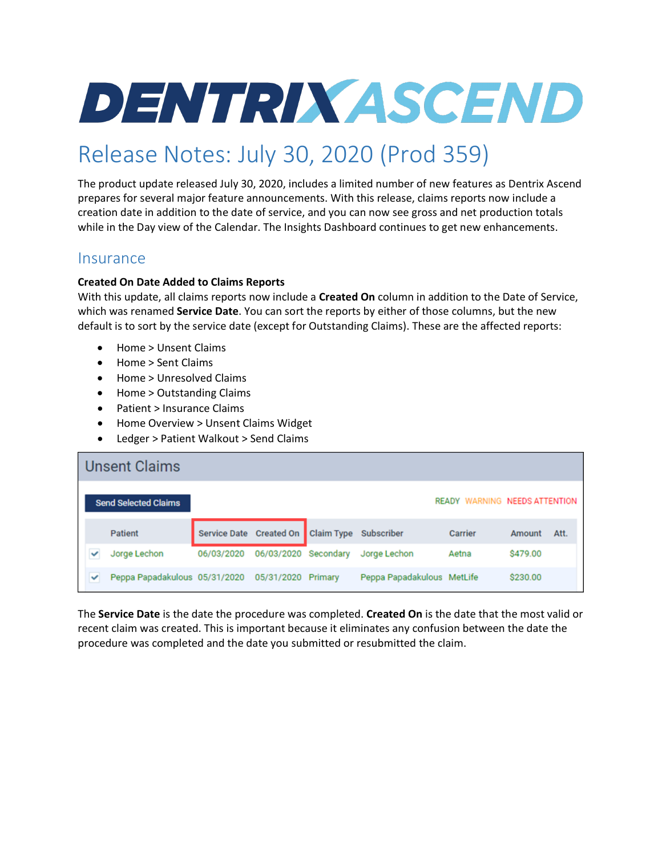# **DENTRIX ASCEND**

# Release Notes: July 30, 2020 (Prod 359)

The product update released July 30, 2020, includes a limited number of new features as Dentrix Ascend prepares for several major feature announcements. With this release, claims reports now include a creation date in addition to the date of service, and you can now see gross and net production totals while in the Day view of the Calendar. The Insights Dashboard continues to get new enhancements.

### **Insurance**

#### **Created On Date Added to Claims Reports**

With this update, all claims reports now include a **Created On** column in addition to the Date of Service, which was renamed **Service Date**. You can sort the reports by either of those columns, but the new default is to sort by the service date (except for Outstanding Claims). These are the affected reports:

- Home > Unsent Claims
- Home > Sent Claims
- Home > Unresolved Claims
- Home > Outstanding Claims
- Patient > Insurance Claims
- Home Overview > Unsent Claims Widget
- Ledger > Patient Walkout > Send Claims

|   | <b>Unsent Claims</b>          |                                      |                      |                            |                                      |          |      |
|---|-------------------------------|--------------------------------------|----------------------|----------------------------|--------------------------------------|----------|------|
|   | <b>Send Selected Claims</b>   |                                      |                      |                            | <b>READY WARNING NEEDS ATTENTION</b> |          |      |
|   | <b>Patient</b>                | Service Date Created On   Claim Type |                      | Subscriber                 | Carrier                              | Amount   | Att. |
|   | Jorge Lechon                  | 06/03/2020                           | 06/03/2020 Secondary | Jorge Lechon               | Aetna                                | \$479.00 |      |
| ✓ | Peppa Papadakulous 05/31/2020 |                                      | 05/31/2020 Primary   | Peppa Papadakulous MetLife |                                      | \$230.00 |      |

The **Service Date** is the date the procedure was completed. **Created On** is the date that the most valid or recent claim was created. This is important because it eliminates any confusion between the date the procedure was completed and the date you submitted or resubmitted the claim.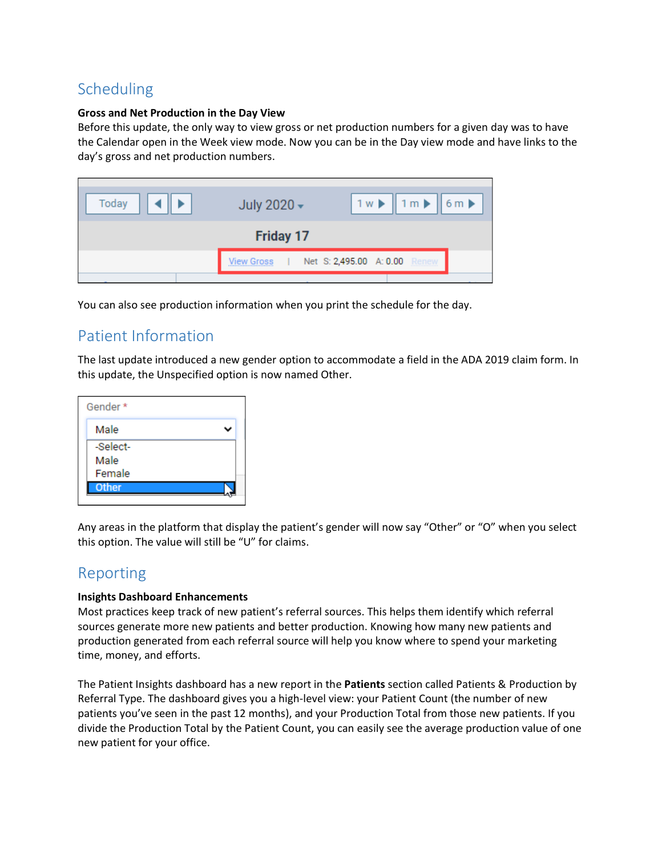# Scheduling

#### **Gross and Net Production in the Day View**

Before this update, the only way to view gross or net production numbers for a given day was to have the Calendar open in the Week view mode. Now you can be in the Day view mode and have links to the day's gross and net production numbers.

| Today            | July 2020 - | $1 \le \mathbf{k}$ 1m $\mathbf{k}$ 6m $\mathbf{k}$ |  |  |  |  |  |
|------------------|-------------|----------------------------------------------------|--|--|--|--|--|
| <b>Friday 17</b> |             |                                                    |  |  |  |  |  |
|                  | View Gross  | Net S: 2,495.00 A: 0.00<br>Renew                   |  |  |  |  |  |
|                  |             |                                                    |  |  |  |  |  |

You can also see production information when you print the schedule for the day.

# Patient Information

The last update introduced a new gender option to accommodate a field in the ADA 2019 claim form. In this update, the Unspecified option is now named Other.

| Gender * |  |
|----------|--|
| Male     |  |
| -Select- |  |
| Male     |  |
| Female   |  |
| Other    |  |
|          |  |

Any areas in the platform that display the patient's gender will now say "Other" or "O" when you select this option. The value will still be "U" for claims.

# Reporting

#### **Insights Dashboard Enhancements**

Most practices keep track of new patient's referral sources. This helps them identify which referral sources generate more new patients and better production. Knowing how many new patients and production generated from each referral source will help you know where to spend your marketing time, money, and efforts.

The Patient Insights dashboard has a new report in the **Patients** section called Patients & Production by Referral Type. The dashboard gives you a high-level view: your Patient Count (the number of new patients you've seen in the past 12 months), and your Production Total from those new patients. If you divide the Production Total by the Patient Count, you can easily see the average production value of one new patient for your office.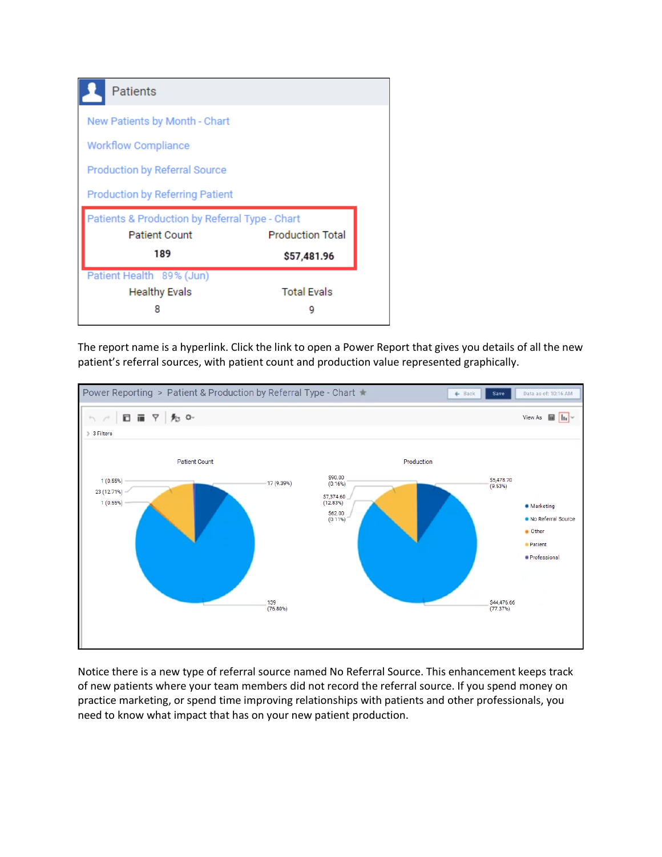| Patients                                       |                         |  |
|------------------------------------------------|-------------------------|--|
| New Patients by Month - Chart                  |                         |  |
| <b>Workflow Compliance</b>                     |                         |  |
| <b>Production by Referral Source</b>           |                         |  |
|                                                |                         |  |
| <b>Production by Referring Patient</b>         |                         |  |
| Patients & Production by Referral Type - Chart |                         |  |
| <b>Patient Count</b>                           | <b>Production Total</b> |  |
| 189                                            | \$57,481.96             |  |
| Patient Health 89% (Jun)                       |                         |  |
| <b>Healthy Evals</b>                           | <b>Total Evals</b>      |  |

The report name is a hyperlink. Click the link to open a Power Report that gives you details of all the new patient's referral sources, with patient count and production value represented graphically.



Notice there is a new type of referral source named No Referral Source. This enhancement keeps track of new patients where your team members did not record the referral source. If you spend money on practice marketing, or spend time improving relationships with patients and other professionals, you need to know what impact that has on your new patient production.